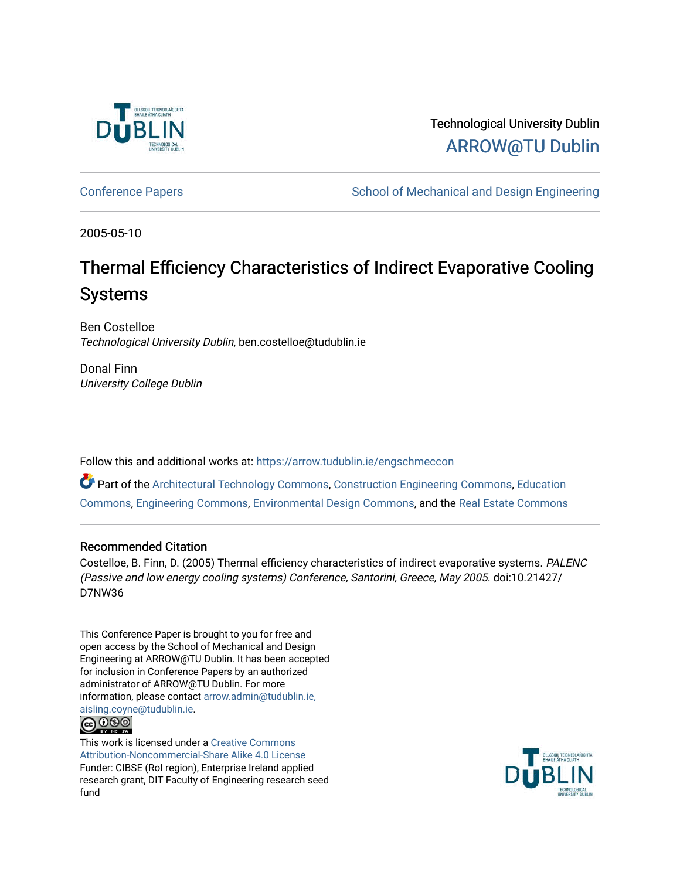

Technological University Dublin [ARROW@TU Dublin](https://arrow.tudublin.ie/) 

[Conference Papers](https://arrow.tudublin.ie/engschmeccon) **School of Mechanical and Design Engineering** 

2005-05-10

# Thermal Efficiency Characteristics of Indirect Evaporative Cooling Systems

Ben Costelloe Technological University Dublin, ben.costelloe@tudublin.ie

Donal Finn University College Dublin

Follow this and additional works at: [https://arrow.tudublin.ie/engschmeccon](https://arrow.tudublin.ie/engschmeccon?utm_source=arrow.tudublin.ie%2Fengschmeccon%2F69&utm_medium=PDF&utm_campaign=PDFCoverPages) 

Part of the [Architectural Technology Commons](http://network.bepress.com/hgg/discipline/1194?utm_source=arrow.tudublin.ie%2Fengschmeccon%2F69&utm_medium=PDF&utm_campaign=PDFCoverPages), [Construction Engineering Commons](http://network.bepress.com/hgg/discipline/775?utm_source=arrow.tudublin.ie%2Fengschmeccon%2F69&utm_medium=PDF&utm_campaign=PDFCoverPages), [Education](http://network.bepress.com/hgg/discipline/784?utm_source=arrow.tudublin.ie%2Fengschmeccon%2F69&utm_medium=PDF&utm_campaign=PDFCoverPages)  [Commons](http://network.bepress.com/hgg/discipline/784?utm_source=arrow.tudublin.ie%2Fengschmeccon%2F69&utm_medium=PDF&utm_campaign=PDFCoverPages), [Engineering Commons](http://network.bepress.com/hgg/discipline/217?utm_source=arrow.tudublin.ie%2Fengschmeccon%2F69&utm_medium=PDF&utm_campaign=PDFCoverPages), [Environmental Design Commons](http://network.bepress.com/hgg/discipline/777?utm_source=arrow.tudublin.ie%2Fengschmeccon%2F69&utm_medium=PDF&utm_campaign=PDFCoverPages), and the [Real Estate Commons](http://network.bepress.com/hgg/discipline/641?utm_source=arrow.tudublin.ie%2Fengschmeccon%2F69&utm_medium=PDF&utm_campaign=PDFCoverPages) 

## Recommended Citation

Costelloe, B. Finn, D. (2005) Thermal efficiency characteristics of indirect evaporative systems. PALENC (Passive and low energy cooling systems) Conference, Santorini, Greece, May 2005. doi:10.21427/ D7NW36

This Conference Paper is brought to you for free and open access by the School of Mechanical and Design Engineering at ARROW@TU Dublin. It has been accepted for inclusion in Conference Papers by an authorized administrator of ARROW@TU Dublin. For more information, please contact [arrow.admin@tudublin.ie,](mailto:arrow.admin@tudublin.ie,%20aisling.coyne@tudublin.ie)  [aisling.coyne@tudublin.ie.](mailto:arrow.admin@tudublin.ie,%20aisling.coyne@tudublin.ie)



This work is licensed under a [Creative Commons](http://creativecommons.org/licenses/by-nc-sa/4.0/) [Attribution-Noncommercial-Share Alike 4.0 License](http://creativecommons.org/licenses/by-nc-sa/4.0/) Funder: CIBSE (RoI region), Enterprise Ireland applied research grant, DIT Faculty of Engineering research seed fund

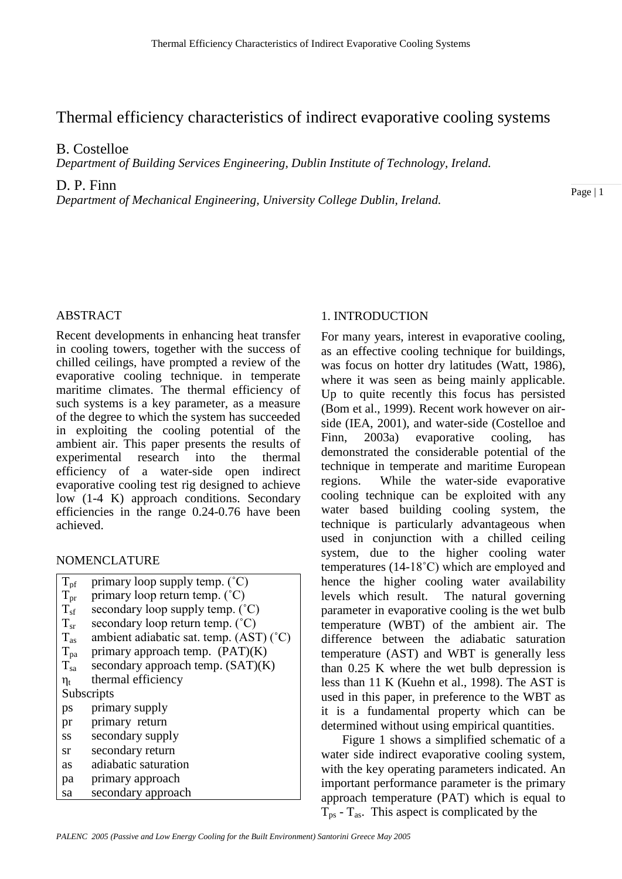# Thermal efficiency characteristics of indirect evaporative cooling systems

B. Costelloe

*Department of Building Services Engineering, Dublin Institute of Technology, Ireland.*

D. P. Finn

*Department of Mechanical Engineering, University College Dublin, Ireland.*

Page | 1

# ABSTRACT

Recent developments in enhancing heat transfer in cooling towers, together with the success of chilled ceilings, have prompted a review of the evaporative cooling technique. in temperate maritime climates. The thermal efficiency of such systems is a key parameter, as a measure of the degree to which the system has succeeded in exploiting the cooling potential of the ambient air. This paper presents the results of experimental research into the thermal efficiency of a water-side open indirect evaporative cooling test rig designed to achieve low (1-4 K) approach conditions. Secondary efficiencies in the range 0.24-0.76 have been achieved.

# NOMENCLATURE

| $T_{\rm pf}$ | primary loop supply temp. $({}^{\circ}C)$ |  |  |  |
|--------------|-------------------------------------------|--|--|--|
| $T_{\rm pr}$ | primary loop return temp. (°C)            |  |  |  |
| $T_{sf}$     | secondary loop supply temp. (°C)          |  |  |  |
| $T_{sr}$     | secondary loop return temp. (°C)          |  |  |  |
| $T_{as}$     | ambient adiabatic sat. temp. (AST) (°C)   |  |  |  |
| $T_{pa}$     | primary approach temp. $(PAT)(K)$         |  |  |  |
| $T_{sa}$     | secondary approach temp. $(SAT)(K)$       |  |  |  |
| $\eta_t$     | thermal efficiency                        |  |  |  |
| Subscripts   |                                           |  |  |  |
| ps           | primary supply                            |  |  |  |
| pr           | primary return                            |  |  |  |
| SS           | secondary supply                          |  |  |  |
| sr           | secondary return                          |  |  |  |
| as           | adiabatic saturation                      |  |  |  |
| pa           | primary approach                          |  |  |  |
| sa           | secondary approach                        |  |  |  |
|              |                                           |  |  |  |

# 1. INTRODUCTION

For many years, interest in evaporative cooling, as an effective cooling technique for buildings, was focus on hotter dry latitudes (Watt, 1986), where it was seen as being mainly applicable. Up to quite recently this focus has persisted (Bom et al., 1999). Recent work however on airside (IEA, 2001), and water-side (Costelloe and Finn, 2003a) evaporative cooling, has demonstrated the considerable potential of the technique in temperate and maritime European regions. While the water-side evaporative cooling technique can be exploited with any water based building cooling system, the technique is particularly advantageous when used in conjunction with a chilled ceiling system, due to the higher cooling water temperatures (14-18˚C) which are employed and hence the higher cooling water availability levels which result. The natural governing parameter in evaporative cooling is the wet bulb temperature (WBT) of the ambient air. The difference between the adiabatic saturation temperature (AST) and WBT is generally less than 0.25 K where the wet bulb depression is less than 11 K (Kuehn et al., 1998). The AST is used in this paper, in preference to the WBT as it is a fundamental property which can be determined without using empirical quantities.

 Figure 1 shows a simplified schematic of a water side indirect evaporative cooling system, with the key operating parameters indicated. An important performance parameter is the primary approach temperature (PAT) which is equal to  $T_{ps}$  -  $T_{as}$ . This aspect is complicated by the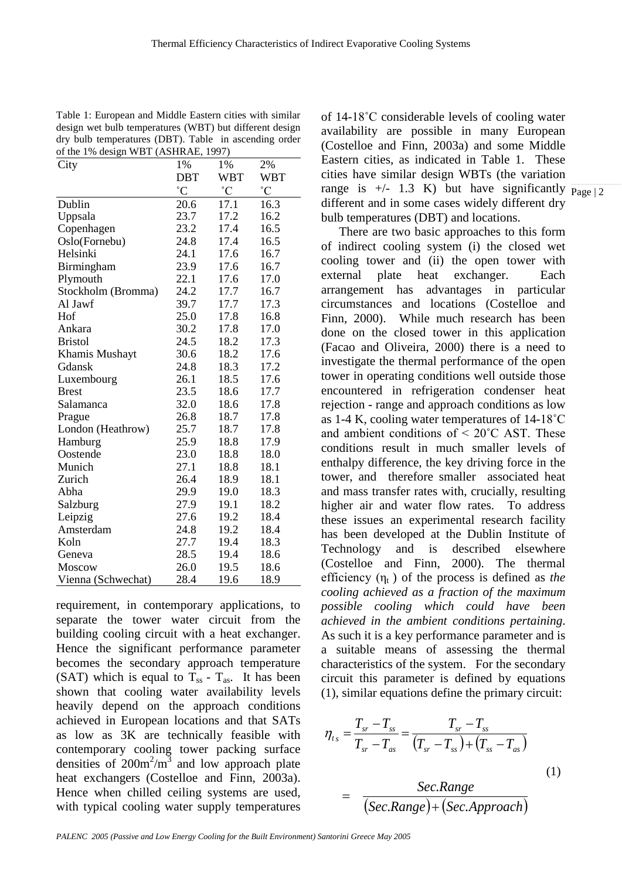Table 1: European and Middle Eastern cities with similar design wet bulb temperatures (WBT) but different design dry bulb temperatures (DBT). Table in ascending order of the 1% design WBT (ASHRAE, 1997)

| City               | 1%              | 1%              | 2%              |
|--------------------|-----------------|-----------------|-----------------|
|                    | DBT             | WBT             | WBT             |
|                    | $\rm ^{\circ}C$ | $\rm ^{\circ}C$ | $\rm ^{\circ}C$ |
| Dublin             | 20.6            | 17.1            | 16.3            |
| Uppsala            | 23.7            | 17.2            | 16.2            |
| Copenhagen         | 23.2            | 17.4            | 16.5            |
| Oslo(Fornebu)      | 24.8            | 17.4            | 16.5            |
| Helsinki           | 24.1            | 17.6            | 16.7            |
| Birmingham         | 23.9            | 17.6            | 16.7            |
| Plymouth           | 22.1            | 17.6            | 17.0            |
| Stockholm (Bromma) | 24.2            | 17.7            | 16.7            |
| Al Jawf            | 39.7            | 17.7            | 17.3            |
| Hof                | 25.0            | 17.8            | 16.8            |
| Ankara             | 30.2            | 17.8            | 17.0            |
| <b>Bristol</b>     | 24.5            | 18.2            | 17.3            |
| Khamis Mushayt     | 30.6            | 18.2            | 17.6            |
| Gdansk             | 24.8            | 18.3            | 17.2            |
| Luxembourg         | 26.1            | 18.5            | 17.6            |
| <b>Brest</b>       | 23.5            | 18.6            | 17.7            |
| Salamanca          | 32.0            | 18.6            | 17.8            |
| Prague             | 26.8            | 18.7            | 17.8            |
| London (Heathrow)  | 25.7            | 18.7            | 17.8            |
| Hamburg            | 25.9            | 18.8            | 17.9            |
| Oostende           | 23.0            | 18.8            | 18.0            |
| Munich             | 27.1            | 18.8            | 18.1            |
| Zurich             | 26.4            | 18.9            | 18.1            |
| Abha               | 29.9            | 19.0            | 18.3            |
| Salzburg           | 27.9            | 19.1            | 18.2            |
| Leipzig            | 27.6            | 19.2            | 18.4            |
| Amsterdam          | 24.8            | 19.2            | 18.4            |
| Koln               | 27.7            | 19.4            | 18.3            |
| Geneva             | 28.5            | 19.4            | 18.6            |
| Moscow             | 26.0            | 19.5            | 18.6            |
| Vienna (Schwechat) | 28.4            | 19.6            | 18.9            |

requirement, in contemporary applications, to separate the tower water circuit from the building cooling circuit with a heat exchanger. Hence the significant performance parameter becomes the secondary approach temperature (SAT) which is equal to  $T_{ss}$  -  $T_{as}$ . It has been shown that cooling water availability levels heavily depend on the approach conditions achieved in European locations and that SATs as low as 3K are technically feasible with contemporary cooling tower packing surface densities of  $200 \text{m}^2/\text{m}^3$  and low approach plate heat exchangers (Costelloe and Finn, 2003a). Hence when chilled ceiling systems are used, with typical cooling water supply temperatures

range is  $+/-$  1.3 K) but have significantly  $\frac{Page}{2}$ of 14-18˚C considerable levels of cooling water availability are possible in many European (Costelloe and Finn, 2003a) and some Middle Eastern cities, as indicated in Table 1. These cities have similar design WBTs (the variation different and in some cases widely different dry bulb temperatures (DBT) and locations.

There are two basic approaches to this form of indirect cooling system (i) the closed wet cooling tower and (ii) the open tower with external plate heat exchanger. Each arrangement has advantages in particular circumstances and locations (Costelloe and Finn, 2000). While much research has been done on the closed tower in this application (Facao and Oliveira, 2000) there is a need to investigate the thermal performance of the open tower in operating conditions well outside those encountered in refrigeration condenser heat rejection - range and approach conditions as low as 1-4 K, cooling water temperatures of 14-18˚C and ambient conditions of  $\leq 20^{\circ}$ C AST. These conditions result in much smaller levels of enthalpy difference, the key driving force in the tower, and therefore smaller associated heat and mass transfer rates with, crucially, resulting higher air and water flow rates. To address these issues an experimental research facility has been developed at the Dublin Institute of Technology and is described elsewhere (Costelloe and Finn, 2000). The thermal efficiency  $(\eta_t)$  of the process is defined as *the cooling achieved as a fraction of the maximum possible cooling which could have been achieved in the ambient conditions pertaining*. As such it is a key performance parameter and is a suitable means of assessing the thermal characteristics of the system. For the secondary circuit this parameter is defined by equations (1), similar equations define the primary circuit:

$$
\eta_{t_s} = \frac{T_{sr} - T_{ss}}{T_{sr} - T_{as}} = \frac{T_{sr} - T_{ss}}{(T_{sr} - T_{ss}) + (T_{ss} - T_{as})}
$$
\n
$$
= \frac{Sec.Range}{(Sec.Range) + (Sec.Approach)}
$$
\n(1)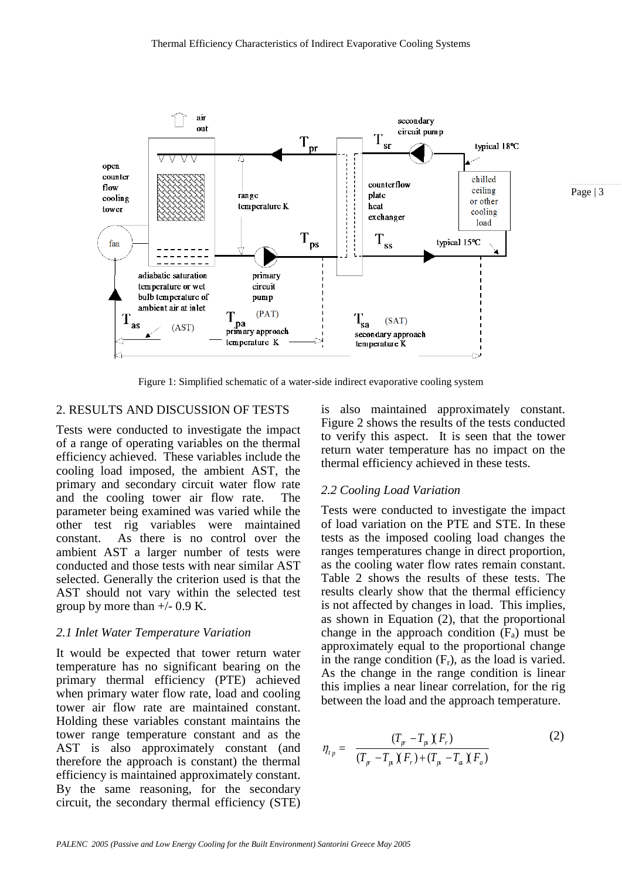

Figure 1: Simplified schematic of a water-side indirect evaporative cooling system

### 2. RESULTS AND DISCUSSION OF TESTS

Tests were conducted to investigate the impact of a range of operating variables on the thermal efficiency achieved. These variables include the cooling load imposed, the ambient AST, the primary and secondary circuit water flow rate and the cooling tower air flow rate. The parameter being examined was varied while the other test rig variables were maintained constant. As there is no control over the ambient AST a larger number of tests were conducted and those tests with near similar AST selected. Generally the criterion used is that the AST should not vary within the selected test group by more than  $+/- 0.9$  K.

#### *2.1 Inlet Water Temperature Variation*

It would be expected that tower return water temperature has no significant bearing on the primary thermal efficiency (PTE) achieved when primary water flow rate, load and cooling tower air flow rate are maintained constant. Holding these variables constant maintains the tower range temperature constant and as the AST is also approximately constant (and therefore the approach is constant) the thermal efficiency is maintained approximately constant. By the same reasoning, for the secondary circuit, the secondary thermal efficiency (STE)

is also maintained approximately constant. Figure 2 shows the results of the tests conducted to verify this aspect. It is seen that the tower return water temperature has no impact on the thermal efficiency achieved in these tests.

#### *2.2 Cooling Load Variation*

Tests were conducted to investigate the impact of load variation on the PTE and STE. In these tests as the imposed cooling load changes the ranges temperatures change in direct proportion, as the cooling water flow rates remain constant. Table 2 shows the results of these tests. The results clearly show that the thermal efficiency is not affected by changes in load. This implies, as shown in Equation (2), that the proportional change in the approach condition  $(F_a)$  must be approximately equal to the proportional change in the range condition  $(F_r)$ , as the load is varied. As the change in the range condition is linear this implies a near linear correlation, for the rig between the load and the approach temperature.

$$
\eta_{t_p} = \frac{(T_p - T_p)(F_r)}{(T_p - T_p)(F_r) + (T_p - T_a)(F_a)}
$$
(2)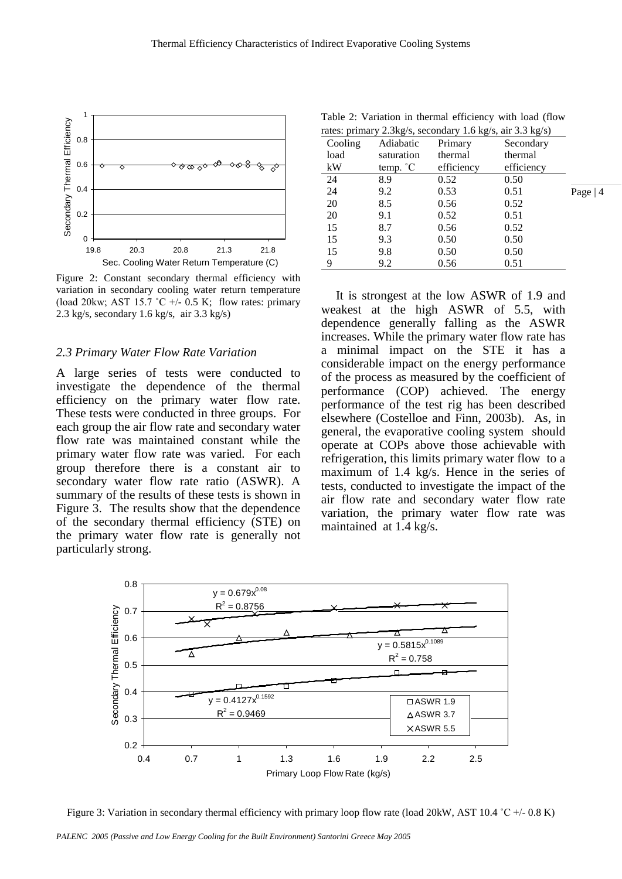

Figure 2: Constant secondary thermal efficiency with variation in secondary cooling water return temperature (load 20kw; AST 15.7  $\degree$ C +/- 0.5 K; flow rates: primary 2.3 kg/s, secondary 1.6 kg/s, air 3.3 kg/s)

#### *2.3 Primary Water Flow Rate Variation*

A large series of tests were conducted to investigate the dependence of the thermal efficiency on the primary water flow rate. These tests were conducted in three groups. For each group the air flow rate and secondary water flow rate was maintained constant while the primary water flow rate was varied. For each group therefore there is a constant air to secondary water flow rate ratio (ASWR). A summary of the results of these tests is shown in Figure 3. The results show that the dependence of the secondary thermal efficiency (STE) on the primary water flow rate is generally not particularly strong.

Table 2: Variation in thermal efficiency with load (flow rates: primary 2.3kg/s, secondary 1.6 kg/s, air 3.3 kg/s)

| Cooling | $\sim$ $\sim$<br>Adiabatic | Primary    | Secondary  |
|---------|----------------------------|------------|------------|
| load    | saturation                 | thermal    | thermal    |
| kW      | temp. °C                   | efficiency | efficiency |
| 24      | 8.9                        | 0.52       | 0.50       |
| 24      | 9.2                        | 0.53       | 0.51       |
| 20      | 8.5                        | 0.56       | 0.52       |
| 20      | 9.1                        | 0.52       | 0.51       |
| 15      | 8.7                        | 0.56       | 0.52       |
| 15      | 9.3                        | 0.50       | 0.50       |
| 15      | 9.8                        | 0.50       | 0.50       |
| 9       | 9.2                        | 0.56       | 0.51       |

Page | 4

It is strongest at the low ASWR of 1.9 and weakest at the high ASWR of 5.5, with dependence generally falling as the ASWR increases. While the primary water flow rate has a minimal impact on the STE it has a considerable impact on the energy performance of the process as measured by the coefficient of performance (COP) achieved. The energy performance of the test rig has been described elsewhere (Costelloe and Finn, 2003b). As, in general, the evaporative cooling system should operate at COPs above those achievable with refrigeration, this limits primary water flow to a maximum of 1.4 kg/s. Hence in the series of tests, conducted to investigate the impact of the air flow rate and secondary water flow rate variation, the primary water flow rate was maintained at 1.4 kg/s.



Figure 3: Variation in secondary thermal efficiency with primary loop flow rate (load 20kW, AST 10.4 °C +/- 0.8 K)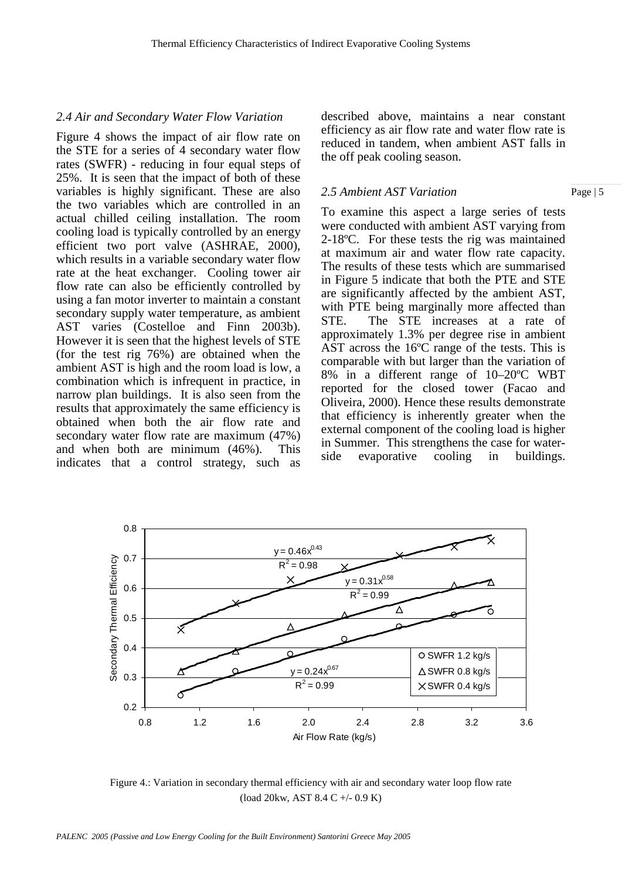#### *2.4 Air and Secondary Water Flow Variation*

Figure 4 shows the impact of air flow rate on the STE for a series of 4 secondary water flow rates (SWFR) - reducing in four equal steps of 25%. It is seen that the impact of both of these variables is highly significant. These are also the two variables which are controlled in an actual chilled ceiling installation. The room cooling load is typically controlled by an energy efficient two port valve (ASHRAE, 2000), which results in a variable secondary water flow rate at the heat exchanger. Cooling tower air flow rate can also be efficiently controlled by using a fan motor inverter to maintain a constant secondary supply water temperature, as ambient AST varies (Costelloe and Finn 2003b). However it is seen that the highest levels of STE (for the test rig 76%) are obtained when the ambient AST is high and the room load is low, a combination which is infrequent in practice, in narrow plan buildings. It is also seen from the results that approximately the same efficiency is obtained when both the air flow rate and secondary water flow rate are maximum (47%) and when both are minimum (46%). This indicates that a control strategy, such as

described above, maintains a near constant efficiency as air flow rate and water flow rate is reduced in tandem, when ambient AST falls in the off peak cooling season.

#### *2.5 Ambient AST Variation*

To examine this aspect a large series of tests were conducted with ambient AST varying from 2-18ºC. For these tests the rig was maintained at maximum air and water flow rate capacity. The results of these tests which are summarised in Figure 5 indicate that both the PTE and STE are significantly affected by the ambient AST, with PTE being marginally more affected than STE. The STE increases at a rate of approximately 1.3% per degree rise in ambient AST across the 16ºC range of the tests. This is comparable with but larger than the variation of 8% in a different range of 10–20ºC WBT reported for the closed tower (Facao and Oliveira, 2000). Hence these results demonstrate that efficiency is inherently greater when the external component of the cooling load is higher in Summer. This strengthens the case for waterside evaporative cooling in buildings.



Figure 4.: Variation in secondary thermal efficiency with air and secondary water loop flow rate (load 20kw, AST 8.4 C +/- 0.9 K)